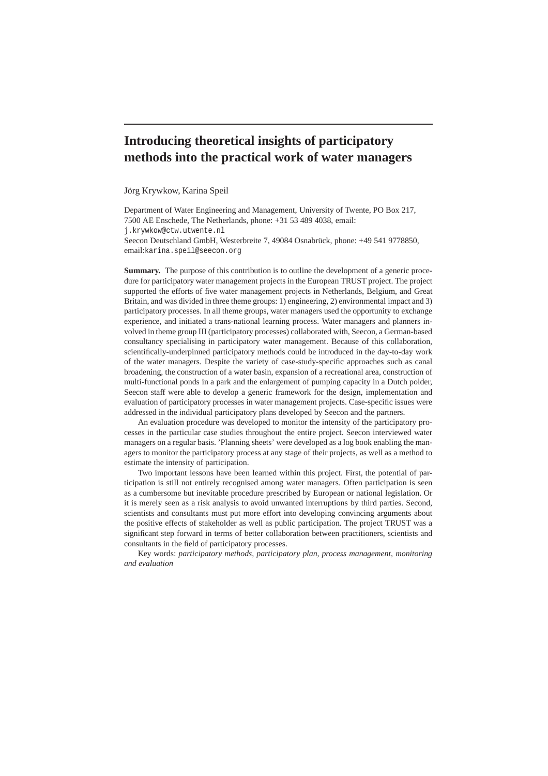# **Introducing theoretical insights of participatory methods into the practical work of water managers**

Jörg Krywkow, Karina Speil

Department of Water Engineering and Management, University of Twente, PO Box 217, 7500 AE Enschede, The Netherlands, phone: +31 53 489 4038, email: j.krywkow@ctw.utwente.nl

Seecon Deutschland GmbH, Westerbreite 7, 49084 Osnabrück, phone: +49 541 9778850, email:karina.speil@seecon.org

**Summary.** The purpose of this contribution is to outline the development of a generic procedure for participatory water management projects in the European TRUST project. The project supported the efforts of five water management projects in Netherlands, Belgium, and Great Britain, and was divided in three theme groups: 1) engineering, 2) environmental impact and 3) participatory processes. In all theme groups, water managers used the opportunity to exchange experience, and initiated a trans-national learning process. Water managers and planners involved in theme group III (participatory processes) collaborated with, Seecon, a German-based consultancy specialising in participatory water management. Because of this collaboration, scientifically-underpinned participatory methods could be introduced in the day-to-day work of the water managers. Despite the variety of case-study-specific approaches such as canal broadening, the construction of a water basin, expansion of a recreational area, construction of multi-functional ponds in a park and the enlargement of pumping capacity in a Dutch polder, Seecon staff were able to develop a generic framework for the design, implementation and evaluation of participatory processes in water management projects. Case-specific issues were addressed in the individual participatory plans developed by Seecon and the partners.

An evaluation procedure was developed to monitor the intensity of the participatory processes in the particular case studies throughout the entire project. Seecon interviewed water managers on a regular basis. 'Planning sheets' were developed as a log book enabling the managers to monitor the participatory process at any stage of their projects, as well as a method to estimate the intensity of participation.

Two important lessons have been learned within this project. First, the potential of participation is still not entirely recognised among water managers. Often participation is seen as a cumbersome but inevitable procedure prescribed by European or national legislation. Or it is merely seen as a risk analysis to avoid unwanted interruptions by third parties. Second, scientists and consultants must put more effort into developing convincing arguments about the positive effects of stakeholder as well as public participation. The project TRUST was a significant step forward in terms of better collaboration between practitioners, scientists and consultants in the field of participatory processes.

Key words: *participatory methods, participatory plan, process management, monitoring and evaluation*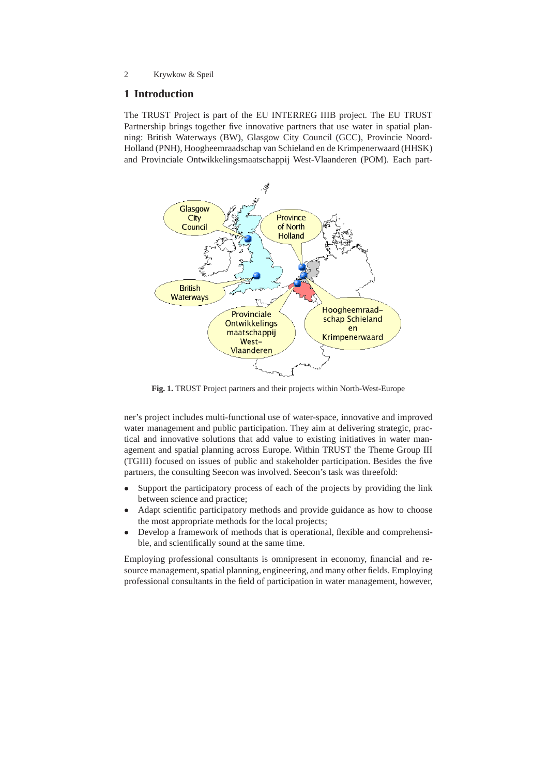# **1 Introduction**

The TRUST Project is part of the EU INTERREG IIIB project. The EU TRUST Partnership brings together five innovative partners that use water in spatial planning: British Waterways (BW), Glasgow City Council (GCC), Provincie Noord-Holland (PNH), Hoogheemraadschap van Schieland en de Krimpenerwaard (HHSK) and Provinciale Ontwikkelingsmaatschappij West-Vlaanderen (POM). Each part-



**Fig. 1.** TRUST Project partners and their projects within North-West-Europe

ner's project includes multi-functional use of water-space, innovative and improved water management and public participation. They aim at delivering strategic, practical and innovative solutions that add value to existing initiatives in water management and spatial planning across Europe. Within TRUST the Theme Group III (TGIII) focused on issues of public and stakeholder participation. Besides the five partners, the consulting Seecon was involved. Seecon's task was threefold:

- Support the participatory process of each of the projects by providing the link between science and practice;
- Adapt scientific participatory methods and provide guidance as how to choose the most appropriate methods for the local projects;
- Develop a framework of methods that is operational, flexible and comprehensible, and scientifically sound at the same time.

Employing professional consultants is omnipresent in economy, financial and resource management, spatial planning, engineering, and many other fields. Employing professional consultants in the field of participation in water management, however,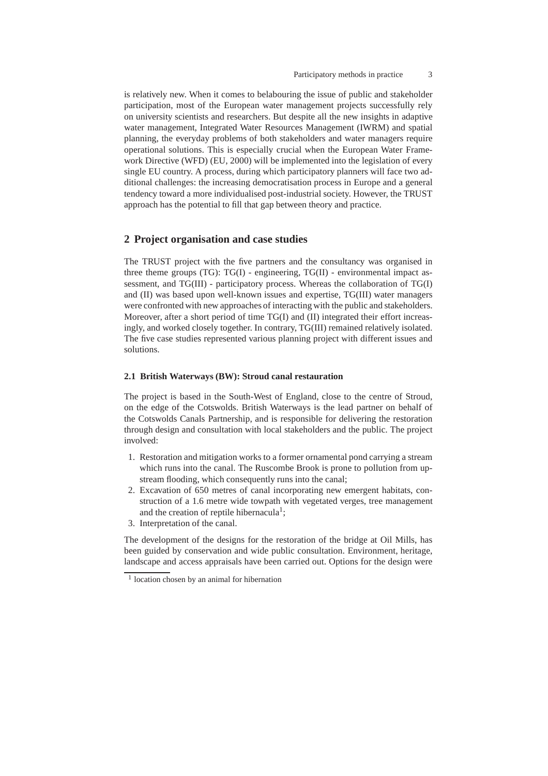is relatively new. When it comes to belabouring the issue of public and stakeholder participation, most of the European water management projects successfully rely on university scientists and researchers. But despite all the new insights in adaptive water management, Integrated Water Resources Management (IWRM) and spatial planning, the everyday problems of both stakeholders and water managers require operational solutions. This is especially crucial when the European Water Framework Directive (WFD) (EU, 2000) will be implemented into the legislation of every single EU country. A process, during which participatory planners will face two additional challenges: the increasing democratisation process in Europe and a general tendency toward a more individualised post-industrial society. However, the TRUST approach has the potential to fill that gap between theory and practice.

## **2 Project organisation and case studies**

The TRUST project with the five partners and the consultancy was organised in three theme groups (TG): TG(I) - engineering, TG(II) - environmental impact assessment, and TG(III) - participatory process. Whereas the collaboration of TG(I) and (II) was based upon well-known issues and expertise, TG(III) water managers were confronted with new approaches of interacting with the public and stakeholders. Moreover, after a short period of time TG(I) and (II) integrated their effort increasingly, and worked closely together. In contrary, TG(III) remained relatively isolated. The five case studies represented various planning project with different issues and solutions.

#### **2.1 British Waterways (BW): Stroud canal restauration**

The project is based in the South-West of England, close to the centre of Stroud, on the edge of the Cotswolds. British Waterways is the lead partner on behalf of the Cotswolds Canals Partnership, and is responsible for delivering the restoration through design and consultation with local stakeholders and the public. The project involved:

- 1. Restoration and mitigation works to a former ornamental pond carrying a stream which runs into the canal. The Ruscombe Brook is prone to pollution from upstream flooding, which consequently runs into the canal;
- 2. Excavation of 650 metres of canal incorporating new emergent habitats, construction of a 1.6 metre wide towpath with vegetated verges, tree management and the creation of reptile hibernacula<sup>1</sup>;
- 3. Interpretation of the canal.

The development of the designs for the restoration of the bridge at Oil Mills, has been guided by conservation and wide public consultation. Environment, heritage, landscape and access appraisals have been carried out. Options for the design were

<sup>&</sup>lt;sup>1</sup> location chosen by an animal for hibernation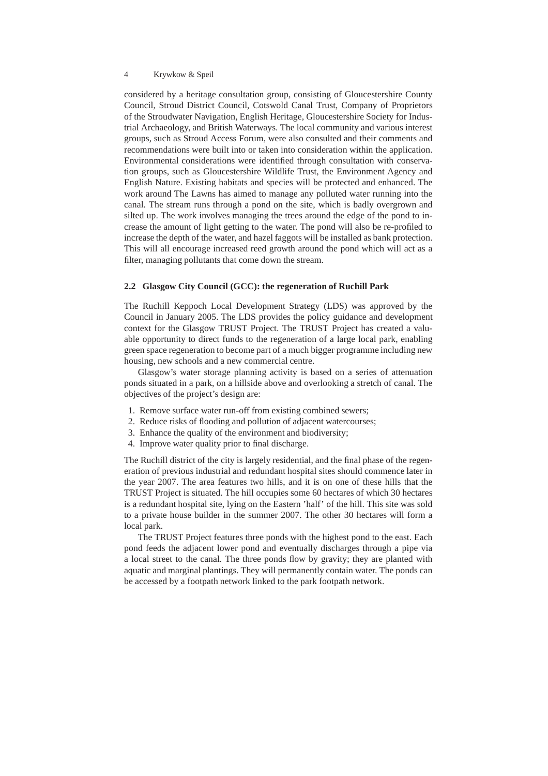considered by a heritage consultation group, consisting of Gloucestershire County Council, Stroud District Council, Cotswold Canal Trust, Company of Proprietors of the Stroudwater Navigation, English Heritage, Gloucestershire Society for Industrial Archaeology, and British Waterways. The local community and various interest groups, such as Stroud Access Forum, were also consulted and their comments and recommendations were built into or taken into consideration within the application. Environmental considerations were identified through consultation with conservation groups, such as Gloucestershire Wildlife Trust, the Environment Agency and English Nature. Existing habitats and species will be protected and enhanced. The work around The Lawns has aimed to manage any polluted water running into the canal. The stream runs through a pond on the site, which is badly overgrown and silted up. The work involves managing the trees around the edge of the pond to increase the amount of light getting to the water. The pond will also be re-profiled to increase the depth of the water, and hazel faggots will be installed as bank protection. This will all encourage increased reed growth around the pond which will act as a filter, managing pollutants that come down the stream.

#### **2.2 Glasgow City Council (GCC): the regeneration of Ruchill Park**

The Ruchill Keppoch Local Development Strategy (LDS) was approved by the Council in January 2005. The LDS provides the policy guidance and development context for the Glasgow TRUST Project. The TRUST Project has created a valuable opportunity to direct funds to the regeneration of a large local park, enabling green space regeneration to become part of a much bigger programme including new housing, new schools and a new commercial centre.

Glasgow's water storage planning activity is based on a series of attenuation ponds situated in a park, on a hillside above and overlooking a stretch of canal. The objectives of the project's design are:

- 1. Remove surface water run-off from existing combined sewers;
- 2. Reduce risks of flooding and pollution of adjacent watercourses;
- 3. Enhance the quality of the environment and biodiversity;
- 4. Improve water quality prior to final discharge.

The Ruchill district of the city is largely residential, and the final phase of the regeneration of previous industrial and redundant hospital sites should commence later in the year 2007. The area features two hills, and it is on one of these hills that the TRUST Project is situated. The hill occupies some 60 hectares of which 30 hectares is a redundant hospital site, lying on the Eastern 'half' of the hill. This site was sold to a private house builder in the summer 2007. The other 30 hectares will form a local park.

The TRUST Project features three ponds with the highest pond to the east. Each pond feeds the adjacent lower pond and eventually discharges through a pipe via a local street to the canal. The three ponds flow by gravity; they are planted with aquatic and marginal plantings. They will permanently contain water. The ponds can be accessed by a footpath network linked to the park footpath network.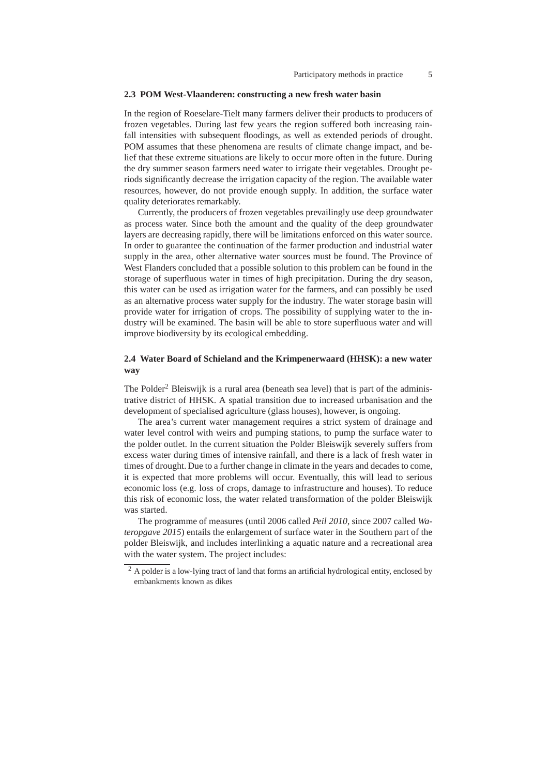#### **2.3 POM West-Vlaanderen: constructing a new fresh water basin**

In the region of Roeselare-Tielt many farmers deliver their products to producers of frozen vegetables. During last few years the region suffered both increasing rainfall intensities with subsequent floodings, as well as extended periods of drought. POM assumes that these phenomena are results of climate change impact, and belief that these extreme situations are likely to occur more often in the future. During the dry summer season farmers need water to irrigate their vegetables. Drought periods significantly decrease the irrigation capacity of the region. The available water resources, however, do not provide enough supply. In addition, the surface water quality deteriorates remarkably.

Currently, the producers of frozen vegetables prevailingly use deep groundwater as process water. Since both the amount and the quality of the deep groundwater layers are decreasing rapidly, there will be limitations enforced on this water source. In order to guarantee the continuation of the farmer production and industrial water supply in the area, other alternative water sources must be found. The Province of West Flanders concluded that a possible solution to this problem can be found in the storage of superfluous water in times of high precipitation. During the dry season, this water can be used as irrigation water for the farmers, and can possibly be used as an alternative process water supply for the industry. The water storage basin will provide water for irrigation of crops. The possibility of supplying water to the industry will be examined. The basin will be able to store superfluous water and will improve biodiversity by its ecological embedding.

## **2.4 Water Board of Schieland and the Krimpenerwaard (HHSK): a new water way**

The Polder<sup>2</sup> Bleiswijk is a rural area (beneath sea level) that is part of the administrative district of HHSK. A spatial transition due to increased urbanisation and the development of specialised agriculture (glass houses), however, is ongoing.

The area's current water management requires a strict system of drainage and water level control with weirs and pumping stations, to pump the surface water to the polder outlet. In the current situation the Polder Bleiswijk severely suffers from excess water during times of intensive rainfall, and there is a lack of fresh water in times of drought. Due to a further change in climate in the years and decades to come, it is expected that more problems will occur. Eventually, this will lead to serious economic loss (e.g. loss of crops, damage to infrastructure and houses). To reduce this risk of economic loss, the water related transformation of the polder Bleiswijk was started.

The programme of measures (until 2006 called *Peil 2010*, since 2007 called *Wateropgave 2015*) entails the enlargement of surface water in the Southern part of the polder Bleiswijk, and includes interlinking a aquatic nature and a recreational area with the water system. The project includes:

<sup>&</sup>lt;sup>2</sup> A polder is a low-lying tract of land that forms an artificial hydrological entity, enclosed by embankments known as dikes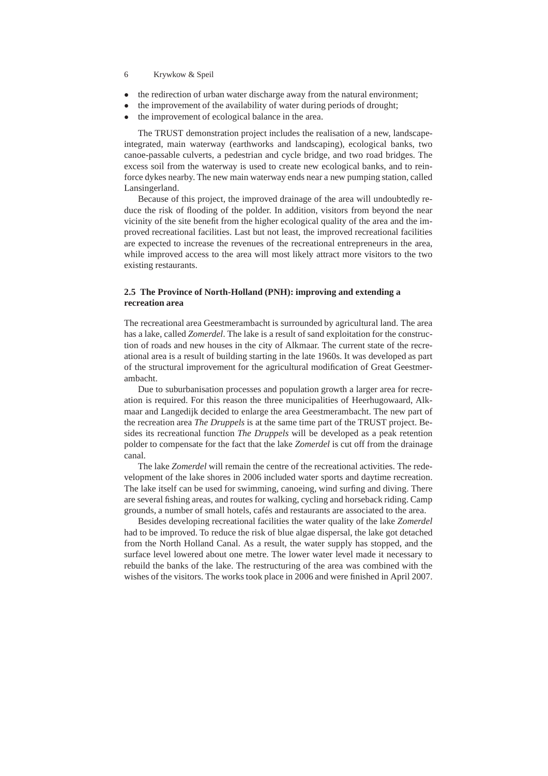- 6 Krywkow & Speil
- the redirection of urban water discharge away from the natural environment;
- the improvement of the availability of water during periods of drought;
- the improvement of ecological balance in the area.

The TRUST demonstration project includes the realisation of a new, landscapeintegrated, main waterway (earthworks and landscaping), ecological banks, two canoe-passable culverts, a pedestrian and cycle bridge, and two road bridges. The excess soil from the waterway is used to create new ecological banks, and to reinforce dykes nearby. The new main waterway ends near a new pumping station, called Lansingerland.

Because of this project, the improved drainage of the area will undoubtedly reduce the risk of flooding of the polder. In addition, visitors from beyond the near vicinity of the site benefit from the higher ecological quality of the area and the improved recreational facilities. Last but not least, the improved recreational facilities are expected to increase the revenues of the recreational entrepreneurs in the area, while improved access to the area will most likely attract more visitors to the two existing restaurants.

## **2.5 The Province of North-Holland (PNH): improving and extending a recreation area**

The recreational area Geestmerambacht is surrounded by agricultural land. The area has a lake, called *Zomerdel*. The lake is a result of sand exploitation for the construction of roads and new houses in the city of Alkmaar. The current state of the recreational area is a result of building starting in the late 1960s. It was developed as part of the structural improvement for the agricultural modification of Great Geestmerambacht.

Due to suburbanisation processes and population growth a larger area for recreation is required. For this reason the three municipalities of Heerhugowaard, Alkmaar and Langedijk decided to enlarge the area Geestmerambacht. The new part of the recreation area *The Druppels* is at the same time part of the TRUST project. Besides its recreational function *The Druppels* will be developed as a peak retention polder to compensate for the fact that the lake *Zomerdel* is cut off from the drainage canal.

The lake *Zomerdel* will remain the centre of the recreational activities. The redevelopment of the lake shores in 2006 included water sports and daytime recreation. The lake itself can be used for swimming, canoeing, wind surfing and diving. There are several fishing areas, and routes for walking, cycling and horseback riding. Camp grounds, a number of small hotels, cafés and restaurants are associated to the area.

Besides developing recreational facilities the water quality of the lake *Zomerdel* had to be improved. To reduce the risk of blue algae dispersal, the lake got detached from the North Holland Canal. As a result, the water supply has stopped, and the surface level lowered about one metre. The lower water level made it necessary to rebuild the banks of the lake. The restructuring of the area was combined with the wishes of the visitors. The works took place in 2006 and were finished in April 2007.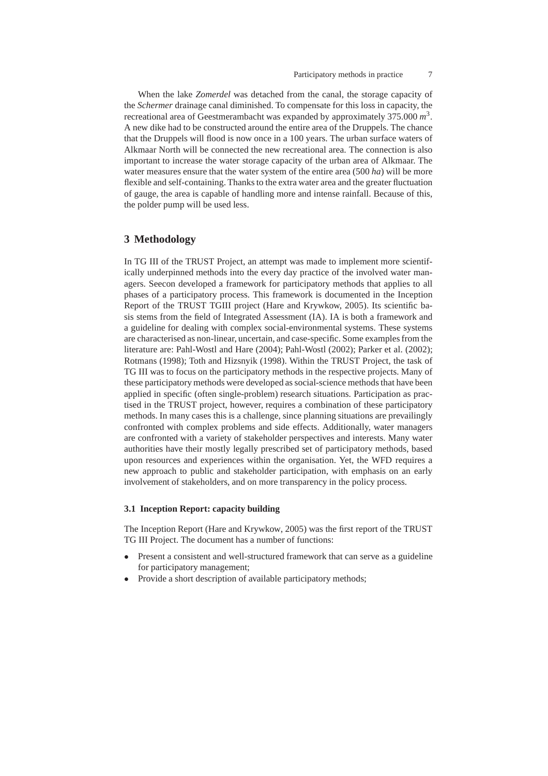When the lake *Zomerdel* was detached from the canal, the storage capacity of the *Schermer* drainage canal diminished. To compensate for this loss in capacity, the recreational area of Geestmerambacht was expanded by approximately 375.000 *m* 3 . A new dike had to be constructed around the entire area of the Druppels. The chance that the Druppels will flood is now once in a 100 years. The urban surface waters of Alkmaar North will be connected the new recreational area. The connection is also important to increase the water storage capacity of the urban area of Alkmaar. The water measures ensure that the water system of the entire area (500 *ha*) will be more flexible and self-containing. Thanks to the extra water area and the greater fluctuation of gauge, the area is capable of handling more and intense rainfall. Because of this, the polder pump will be used less.

# **3 Methodology**

In TG III of the TRUST Project, an attempt was made to implement more scientifically underpinned methods into the every day practice of the involved water managers. Seecon developed a framework for participatory methods that applies to all phases of a participatory process. This framework is documented in the Inception Report of the TRUST TGIII project (Hare and Krywkow, 2005). Its scientific basis stems from the field of Integrated Assessment (IA). IA is both a framework and a guideline for dealing with complex social-environmental systems. These systems are characterised as non-linear, uncertain, and case-specific. Some examples from the literature are: Pahl-Wostl and Hare (2004); Pahl-Wostl (2002); Parker et al. (2002); Rotmans (1998); Toth and Hizsnyik (1998). Within the TRUST Project, the task of TG III was to focus on the participatory methods in the respective projects. Many of these participatory methods were developed as social-science methods that have been applied in specific (often single-problem) research situations. Participation as practised in the TRUST project, however, requires a combination of these participatory methods. In many cases this is a challenge, since planning situations are prevailingly confronted with complex problems and side effects. Additionally, water managers are confronted with a variety of stakeholder perspectives and interests. Many water authorities have their mostly legally prescribed set of participatory methods, based upon resources and experiences within the organisation. Yet, the WFD requires a new approach to public and stakeholder participation, with emphasis on an early involvement of stakeholders, and on more transparency in the policy process.

#### **3.1 Inception Report: capacity building**

The Inception Report (Hare and Krywkow, 2005) was the first report of the TRUST TG III Project. The document has a number of functions:

- Present a consistent and well-structured framework that can serve as a guideline for participatory management;
- Provide a short description of available participatory methods;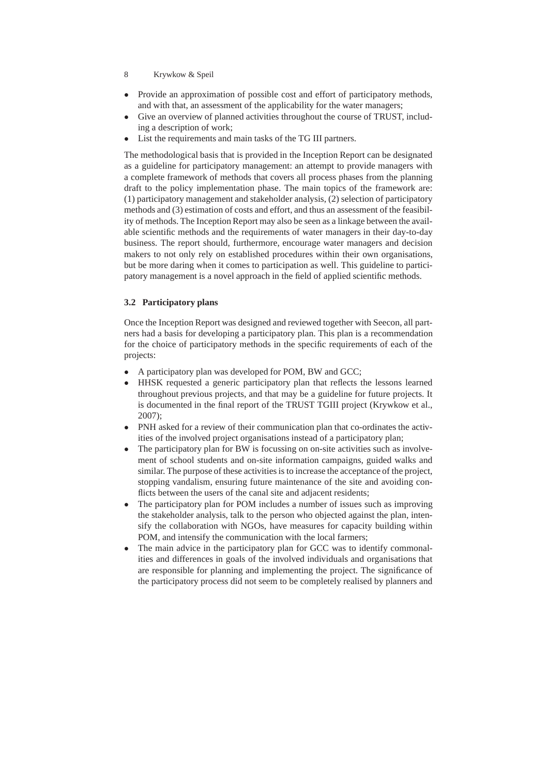- 8 Krywkow & Speil
- Provide an approximation of possible cost and effort of participatory methods, and with that, an assessment of the applicability for the water managers;
- Give an overview of planned activities throughout the course of TRUST, including a description of work;
- List the requirements and main tasks of the TG III partners.

The methodological basis that is provided in the Inception Report can be designated as a guideline for participatory management: an attempt to provide managers with a complete framework of methods that covers all process phases from the planning draft to the policy implementation phase. The main topics of the framework are: (1) participatory management and stakeholder analysis, (2) selection of participatory methods and (3) estimation of costs and effort, and thus an assessment of the feasibility of methods. The Inception Report may also be seen as a linkage between the available scientific methods and the requirements of water managers in their day-to-day business. The report should, furthermore, encourage water managers and decision makers to not only rely on established procedures within their own organisations, but be more daring when it comes to participation as well. This guideline to participatory management is a novel approach in the field of applied scientific methods.

## **3.2 Participatory plans**

Once the Inception Report was designed and reviewed together with Seecon, all partners had a basis for developing a participatory plan. This plan is a recommendation for the choice of participatory methods in the specific requirements of each of the projects:

- A participatory plan was developed for POM, BW and GCC;
- HHSK requested a generic participatory plan that reflects the lessons learned throughout previous projects, and that may be a guideline for future projects. It is documented in the final report of the TRUST TGIII project (Krywkow et al., 2007);
- PNH asked for a review of their communication plan that co-ordinates the activities of the involved project organisations instead of a participatory plan;
- The participatory plan for BW is focussing on on-site activities such as involvement of school students and on-site information campaigns, guided walks and similar. The purpose of these activities is to increase the acceptance of the project, stopping vandalism, ensuring future maintenance of the site and avoiding conflicts between the users of the canal site and adjacent residents;
- The participatory plan for POM includes a number of issues such as improving the stakeholder analysis, talk to the person who objected against the plan, intensify the collaboration with NGOs, have measures for capacity building within POM, and intensify the communication with the local farmers;
- The main advice in the participatory plan for GCC was to identify commonalities and differences in goals of the involved individuals and organisations that are responsible for planning and implementing the project. The significance of the participatory process did not seem to be completely realised by planners and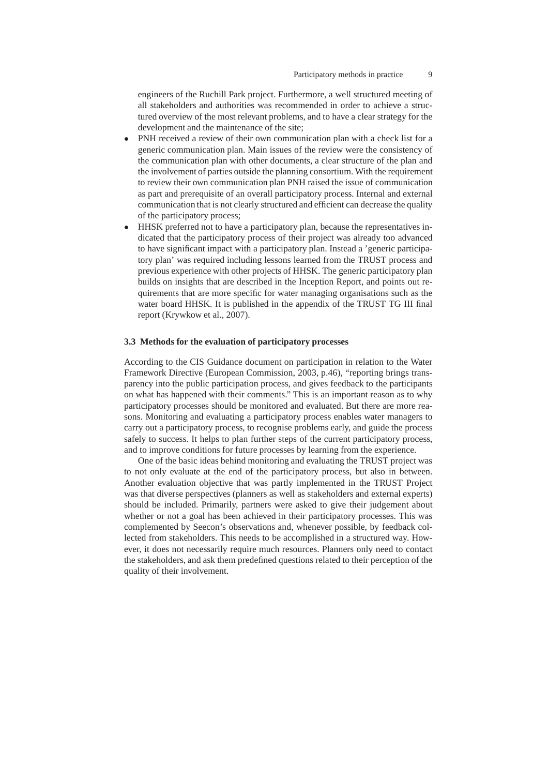engineers of the Ruchill Park project. Furthermore, a well structured meeting of all stakeholders and authorities was recommended in order to achieve a structured overview of the most relevant problems, and to have a clear strategy for the development and the maintenance of the site;

- PNH received a review of their own communication plan with a check list for a generic communication plan. Main issues of the review were the consistency of the communication plan with other documents, a clear structure of the plan and the involvement of parties outside the planning consortium. With the requirement to review their own communication plan PNH raised the issue of communication as part and prerequisite of an overall participatory process. Internal and external communication that is not clearly structured and efficient can decrease the quality of the participatory process;
- HHSK preferred not to have a participatory plan, because the representatives indicated that the participatory process of their project was already too advanced to have significant impact with a participatory plan. Instead a 'generic participatory plan' was required including lessons learned from the TRUST process and previous experience with other projects of HHSK. The generic participatory plan builds on insights that are described in the Inception Report, and points out requirements that are more specific for water managing organisations such as the water board HHSK. It is published in the appendix of the TRUST TG III final report (Krywkow et al., 2007).

#### **3.3 Methods for the evaluation of participatory processes**

According to the CIS Guidance document on participation in relation to the Water Framework Directive (European Commission, 2003, p.46), "reporting brings transparency into the public participation process, and gives feedback to the participants on what has happened with their comments." This is an important reason as to why participatory processes should be monitored and evaluated. But there are more reasons. Monitoring and evaluating a participatory process enables water managers to carry out a participatory process, to recognise problems early, and guide the process safely to success. It helps to plan further steps of the current participatory process, and to improve conditions for future processes by learning from the experience.

One of the basic ideas behind monitoring and evaluating the TRUST project was to not only evaluate at the end of the participatory process, but also in between. Another evaluation objective that was partly implemented in the TRUST Project was that diverse perspectives (planners as well as stakeholders and external experts) should be included. Primarily, partners were asked to give their judgement about whether or not a goal has been achieved in their participatory processes. This was complemented by Seecon's observations and, whenever possible, by feedback collected from stakeholders. This needs to be accomplished in a structured way. However, it does not necessarily require much resources. Planners only need to contact the stakeholders, and ask them predefined questions related to their perception of the quality of their involvement.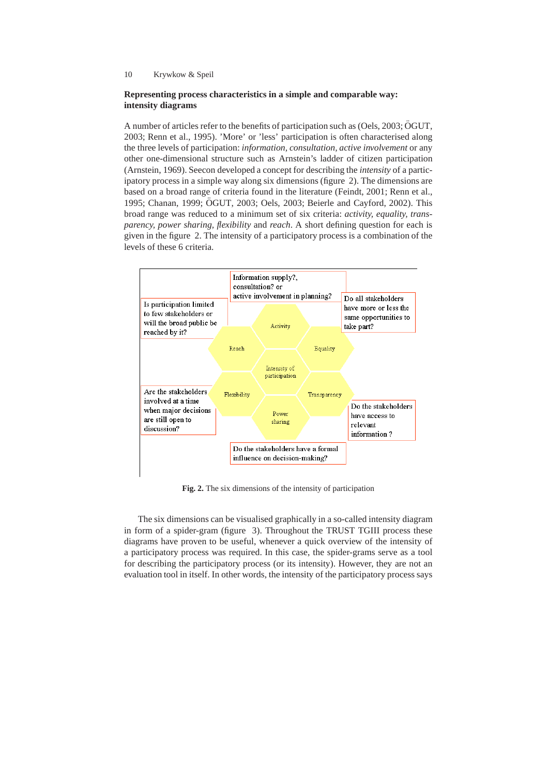## **Representing process characteristics in a simple and comparable way: intensity diagrams**

A number of articles refer to the benefits of participation such as (Oels, 2003; ÖGUT, 2003; Renn et al., 1995). 'More' or 'less' participation is often characterised along the three levels of participation: *information, consultation, active involvement* or any other one-dimensional structure such as Arnstein's ladder of citizen participation (Arnstein, 1969). Seecon developed a concept for describing the *intensity* of a participatory process in a simple way along six dimensions (figure 2). The dimensions are based on a broad range of criteria found in the literature (Feindt, 2001; Renn et al., 1995; Chanan, 1999; OGUT, 2003; Oels, 2003; Beierle and Cayford, 2002). This ¨ broad range was reduced to a minimum set of six criteria: *activity, equality, transparency, power sharing, flexibility* and *reach*. A short defining question for each is given in the figure 2. The intensity of a participatory process is a combination of the levels of these 6 criteria.



**Fig. 2.** The six dimensions of the intensity of participation

The six dimensions can be visualised graphically in a so-called intensity diagram in form of a spider-gram (figure 3). Throughout the TRUST TGIII process these diagrams have proven to be useful, whenever a quick overview of the intensity of a participatory process was required. In this case, the spider-grams serve as a tool for describing the participatory process (or its intensity). However, they are not an evaluation tool in itself. In other words, the intensity of the participatory process says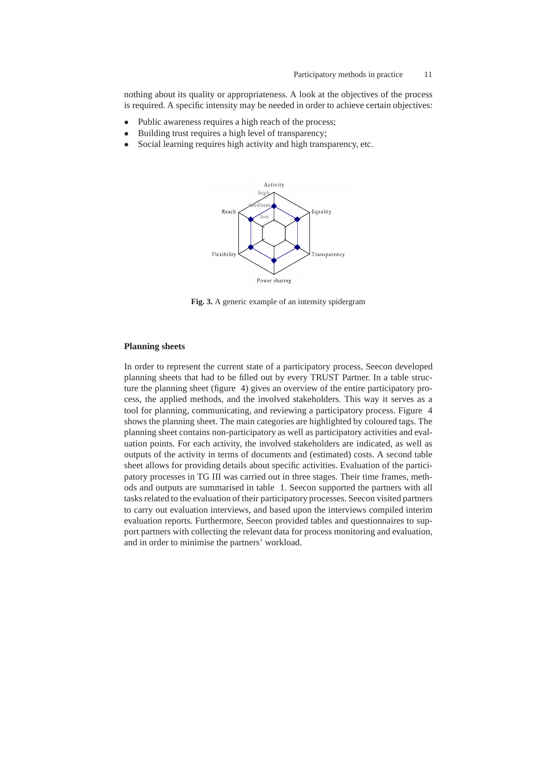nothing about its quality or appropriateness. A look at the objectives of the process is required. A specific intensity may be needed in order to achieve certain objectives:

- Public awareness requires a high reach of the process;
- Building trust requires a high level of transparency;
- Social learning requires high activity and high transparency, etc.



**Fig. 3.** A generic example of an intensity spidergram

#### **Planning sheets**

In order to represent the current state of a participatory process, Seecon developed planning sheets that had to be filled out by every TRUST Partner. In a table structure the planning sheet (figure 4) gives an overview of the entire participatory process, the applied methods, and the involved stakeholders. This way it serves as a tool for planning, communicating, and reviewing a participatory process. Figure 4 shows the planning sheet. The main categories are highlighted by coloured tags. The planning sheet contains non-participatory as well as participatory activities and evaluation points. For each activity, the involved stakeholders are indicated, as well as outputs of the activity in terms of documents and (estimated) costs. A second table sheet allows for providing details about specific activities. Evaluation of the participatory processes in TG III was carried out in three stages. Their time frames, methods and outputs are summarised in table 1. Seecon supported the partners with all tasks related to the evaluation of their participatory processes. Seecon visited partners to carry out evaluation interviews, and based upon the interviews compiled interim evaluation reports. Furthermore, Seecon provided tables and questionnaires to support partners with collecting the relevant data for process monitoring and evaluation, and in order to minimise the partners' workload.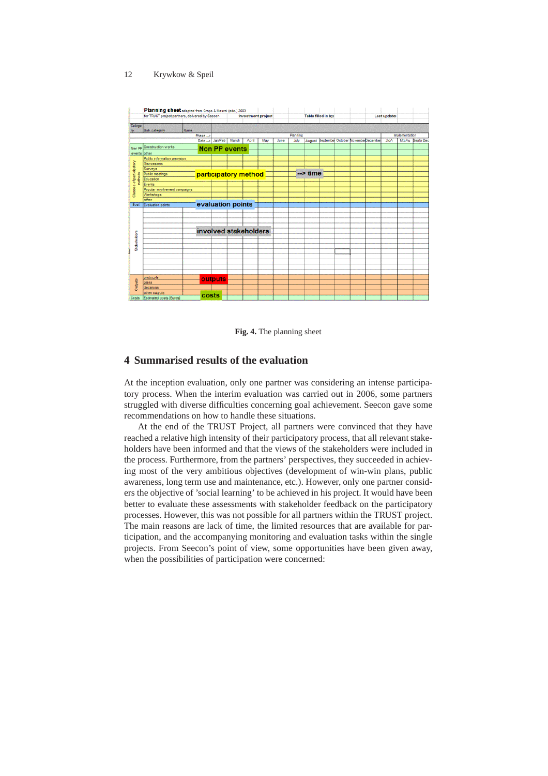

**Fig. 4.** The planning sheet

# **4 Summarised results of the evaluation**

At the inception evaluation, only one partner was considering an intense participatory process. When the interim evaluation was carried out in 2006, some partners struggled with diverse difficulties concerning goal achievement. Seecon gave some recommendations on how to handle these situations.

At the end of the TRUST Project, all partners were convinced that they have reached a relative high intensity of their participatory process, that all relevant stakeholders have been informed and that the views of the stakeholders were included in the process. Furthermore, from the partners' perspectives, they succeeded in achieving most of the very ambitious objectives (development of win-win plans, public awareness, long term use and maintenance, etc.). However, only one partner considers the objective of 'social learning' to be achieved in his project. It would have been better to evaluate these assessments with stakeholder feedback on the participatory processes. However, this was not possible for all partners within the TRUST project. The main reasons are lack of time, the limited resources that are available for participation, and the accompanying monitoring and evaluation tasks within the single projects. From Seecon's point of view, some opportunities have been given away, when the possibilities of participation were concerned: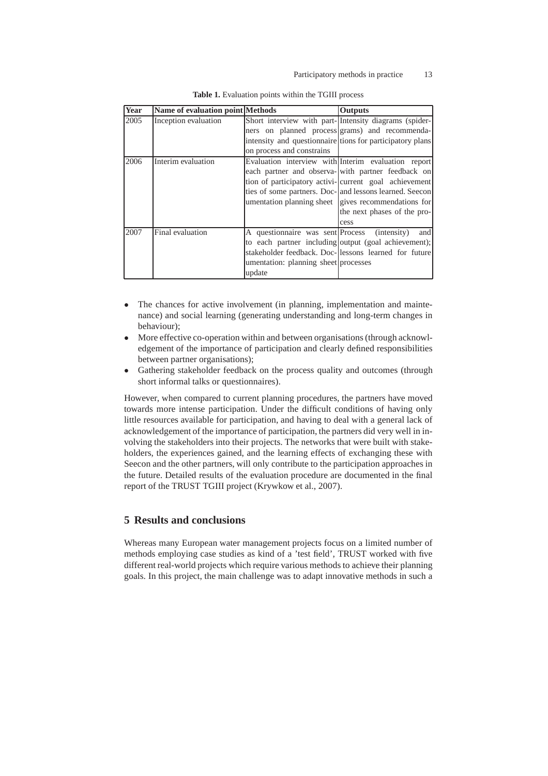| Year | Name of evaluation point Methods |                                                | <b>Outputs</b>                                            |  |  |
|------|----------------------------------|------------------------------------------------|-----------------------------------------------------------|--|--|
| 2005 | Inception evaluation             |                                                | Short interview with part- Intensity diagrams (spider-    |  |  |
|      |                                  | ners on planned process grams) and recommenda- |                                                           |  |  |
|      |                                  |                                                | intensity and questionnaire tions for participatory plans |  |  |
|      |                                  | on process and constrains                      |                                                           |  |  |
| 2006 | Interim evaluation               |                                                | Evaluation interview with Interim evaluation report       |  |  |
|      |                                  |                                                | each partner and observa- with partner feedback on        |  |  |
|      |                                  |                                                | tion of participatory activi-current goal achievement     |  |  |
|      |                                  |                                                | ties of some partners. Doc- and lessons learned. Seecon   |  |  |
|      |                                  |                                                | umentation planning sheet gives recommendations for       |  |  |
|      |                                  |                                                | the next phases of the pro-                               |  |  |
|      |                                  |                                                | cess                                                      |  |  |
| 2007 | Final evaluation                 | A questionnaire was sent Process (intensity)   | and                                                       |  |  |
|      |                                  |                                                | to each partner including output (goal achievement);      |  |  |
|      |                                  |                                                | stakeholder feedback. Doc-lessons learned for future      |  |  |
|      |                                  | umentation: planning sheet processes           |                                                           |  |  |
|      |                                  | update                                         |                                                           |  |  |

|  | <b>Table 1.</b> Evaluation points within the TGIII process |  |  |  |  |  |
|--|------------------------------------------------------------|--|--|--|--|--|
|--|------------------------------------------------------------|--|--|--|--|--|

- The chances for active involvement (in planning, implementation and maintenance) and social learning (generating understanding and long-term changes in behaviour);
- More effective co-operation within and between organisations (through acknowledgement of the importance of participation and clearly defined responsibilities between partner organisations);
- Gathering stakeholder feedback on the process quality and outcomes (through short informal talks or questionnaires).

However, when compared to current planning procedures, the partners have moved towards more intense participation. Under the difficult conditions of having only little resources available for participation, and having to deal with a general lack of acknowledgement of the importance of participation, the partners did very well in involving the stakeholders into their projects. The networks that were built with stakeholders, the experiences gained, and the learning effects of exchanging these with Seecon and the other partners, will only contribute to the participation approaches in the future. Detailed results of the evaluation procedure are documented in the final report of the TRUST TGIII project (Krywkow et al., 2007).

# **5 Results and conclusions**

Whereas many European water management projects focus on a limited number of methods employing case studies as kind of a 'test field', TRUST worked with five different real-world projects which require various methods to achieve their planning goals. In this project, the main challenge was to adapt innovative methods in such a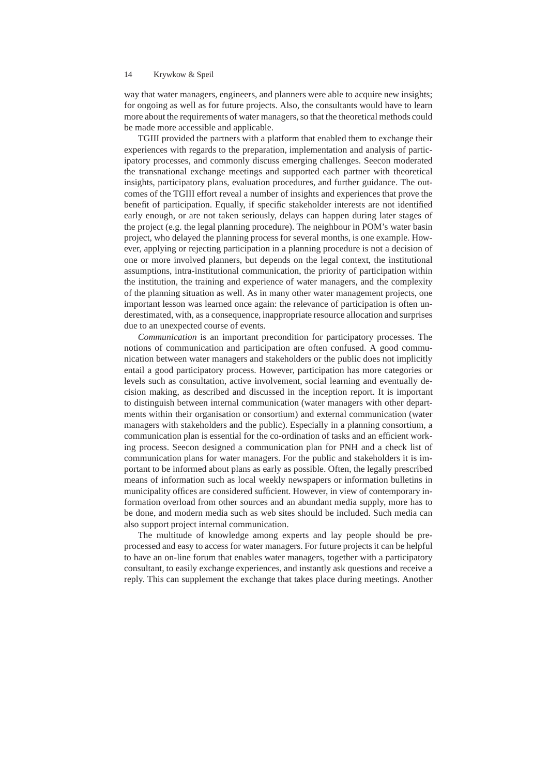way that water managers, engineers, and planners were able to acquire new insights; for ongoing as well as for future projects. Also, the consultants would have to learn more about the requirements of water managers, so that the theoretical methods could be made more accessible and applicable.

TGIII provided the partners with a platform that enabled them to exchange their experiences with regards to the preparation, implementation and analysis of participatory processes, and commonly discuss emerging challenges. Seecon moderated the transnational exchange meetings and supported each partner with theoretical insights, participatory plans, evaluation procedures, and further guidance. The outcomes of the TGIII effort reveal a number of insights and experiences that prove the benefit of participation. Equally, if specific stakeholder interests are not identified early enough, or are not taken seriously, delays can happen during later stages of the project (e.g. the legal planning procedure). The neighbour in POM's water basin project, who delayed the planning process for several months, is one example. However, applying or rejecting participation in a planning procedure is not a decision of one or more involved planners, but depends on the legal context, the institutional assumptions, intra-institutional communication, the priority of participation within the institution, the training and experience of water managers, and the complexity of the planning situation as well. As in many other water management projects, one important lesson was learned once again: the relevance of participation is often underestimated, with, as a consequence, inappropriate resource allocation and surprises due to an unexpected course of events.

*Communication* is an important precondition for participatory processes. The notions of communication and participation are often confused. A good communication between water managers and stakeholders or the public does not implicitly entail a good participatory process. However, participation has more categories or levels such as consultation, active involvement, social learning and eventually decision making, as described and discussed in the inception report. It is important to distinguish between internal communication (water managers with other departments within their organisation or consortium) and external communication (water managers with stakeholders and the public). Especially in a planning consortium, a communication plan is essential for the co-ordination of tasks and an efficient working process. Seecon designed a communication plan for PNH and a check list of communication plans for water managers. For the public and stakeholders it is important to be informed about plans as early as possible. Often, the legally prescribed means of information such as local weekly newspapers or information bulletins in municipality offices are considered sufficient. However, in view of contemporary information overload from other sources and an abundant media supply, more has to be done, and modern media such as web sites should be included. Such media can also support project internal communication.

The multitude of knowledge among experts and lay people should be preprocessed and easy to access for water managers. For future projects it can be helpful to have an on-line forum that enables water managers, together with a participatory consultant, to easily exchange experiences, and instantly ask questions and receive a reply. This can supplement the exchange that takes place during meetings. Another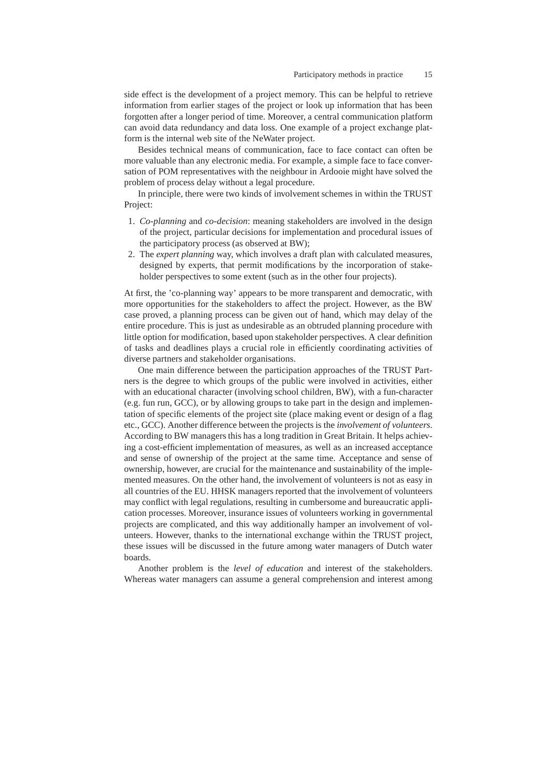side effect is the development of a project memory. This can be helpful to retrieve information from earlier stages of the project or look up information that has been forgotten after a longer period of time. Moreover, a central communication platform can avoid data redundancy and data loss. One example of a project exchange platform is the internal web site of the NeWater project.

Besides technical means of communication, face to face contact can often be more valuable than any electronic media. For example, a simple face to face conversation of POM representatives with the neighbour in Ardooie might have solved the problem of process delay without a legal procedure.

In principle, there were two kinds of involvement schemes in within the TRUST Project:

- 1. *Co-planning* and *co-decision*: meaning stakeholders are involved in the design of the project, particular decisions for implementation and procedural issues of the participatory process (as observed at BW);
- 2. The *expert planning* way, which involves a draft plan with calculated measures, designed by experts, that permit modifications by the incorporation of stakeholder perspectives to some extent (such as in the other four projects).

At first, the 'co-planning way' appears to be more transparent and democratic, with more opportunities for the stakeholders to affect the project. However, as the BW case proved, a planning process can be given out of hand, which may delay of the entire procedure. This is just as undesirable as an obtruded planning procedure with little option for modification, based upon stakeholder perspectives. A clear definition of tasks and deadlines plays a crucial role in efficiently coordinating activities of diverse partners and stakeholder organisations.

One main difference between the participation approaches of the TRUST Partners is the degree to which groups of the public were involved in activities, either with an educational character (involving school children, BW), with a fun-character (e.g. fun run, GCC), or by allowing groups to take part in the design and implementation of specific elements of the project site (place making event or design of a flag etc., GCC). Another difference between the projects is the *involvement of volunteers*. According to BW managers this has a long tradition in Great Britain. It helps achieving a cost-efficient implementation of measures, as well as an increased acceptance and sense of ownership of the project at the same time. Acceptance and sense of ownership, however, are crucial for the maintenance and sustainability of the implemented measures. On the other hand, the involvement of volunteers is not as easy in all countries of the EU. HHSK managers reported that the involvement of volunteers may conflict with legal regulations, resulting in cumbersome and bureaucratic application processes. Moreover, insurance issues of volunteers working in governmental projects are complicated, and this way additionally hamper an involvement of volunteers. However, thanks to the international exchange within the TRUST project, these issues will be discussed in the future among water managers of Dutch water boards.

Another problem is the *level of education* and interest of the stakeholders. Whereas water managers can assume a general comprehension and interest among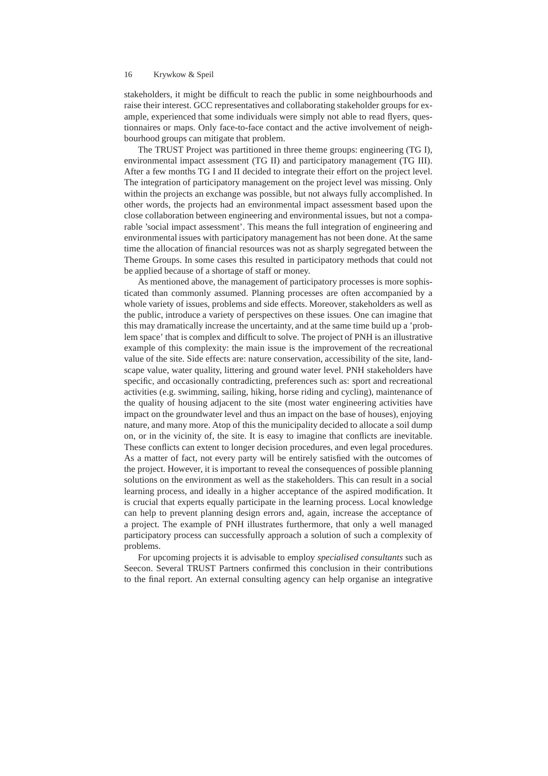stakeholders, it might be difficult to reach the public in some neighbourhoods and raise their interest. GCC representatives and collaborating stakeholder groups for example, experienced that some individuals were simply not able to read flyers, questionnaires or maps. Only face-to-face contact and the active involvement of neighbourhood groups can mitigate that problem.

The TRUST Project was partitioned in three theme groups: engineering (TG I), environmental impact assessment (TG II) and participatory management (TG III). After a few months TG I and II decided to integrate their effort on the project level. The integration of participatory management on the project level was missing. Only within the projects an exchange was possible, but not always fully accomplished. In other words, the projects had an environmental impact assessment based upon the close collaboration between engineering and environmental issues, but not a comparable 'social impact assessment'. This means the full integration of engineering and environmental issues with participatory management has not been done. At the same time the allocation of financial resources was not as sharply segregated between the Theme Groups. In some cases this resulted in participatory methods that could not be applied because of a shortage of staff or money.

As mentioned above, the management of participatory processes is more sophisticated than commonly assumed. Planning processes are often accompanied by a whole variety of issues, problems and side effects. Moreover, stakeholders as well as the public, introduce a variety of perspectives on these issues. One can imagine that this may dramatically increase the uncertainty, and at the same time build up a 'problem space' that is complex and difficult to solve. The project of PNH is an illustrative example of this complexity: the main issue is the improvement of the recreational value of the site. Side effects are: nature conservation, accessibility of the site, landscape value, water quality, littering and ground water level. PNH stakeholders have specific, and occasionally contradicting, preferences such as: sport and recreational activities (e.g. swimming, sailing, hiking, horse riding and cycling), maintenance of the quality of housing adjacent to the site (most water engineering activities have impact on the groundwater level and thus an impact on the base of houses), enjoying nature, and many more. Atop of this the municipality decided to allocate a soil dump on, or in the vicinity of, the site. It is easy to imagine that conflicts are inevitable. These conflicts can extent to longer decision procedures, and even legal procedures. As a matter of fact, not every party will be entirely satisfied with the outcomes of the project. However, it is important to reveal the consequences of possible planning solutions on the environment as well as the stakeholders. This can result in a social learning process, and ideally in a higher acceptance of the aspired modification. It is crucial that experts equally participate in the learning process. Local knowledge can help to prevent planning design errors and, again, increase the acceptance of a project. The example of PNH illustrates furthermore, that only a well managed participatory process can successfully approach a solution of such a complexity of problems.

For upcoming projects it is advisable to employ *specialised consultants* such as Seecon. Several TRUST Partners confirmed this conclusion in their contributions to the final report. An external consulting agency can help organise an integrative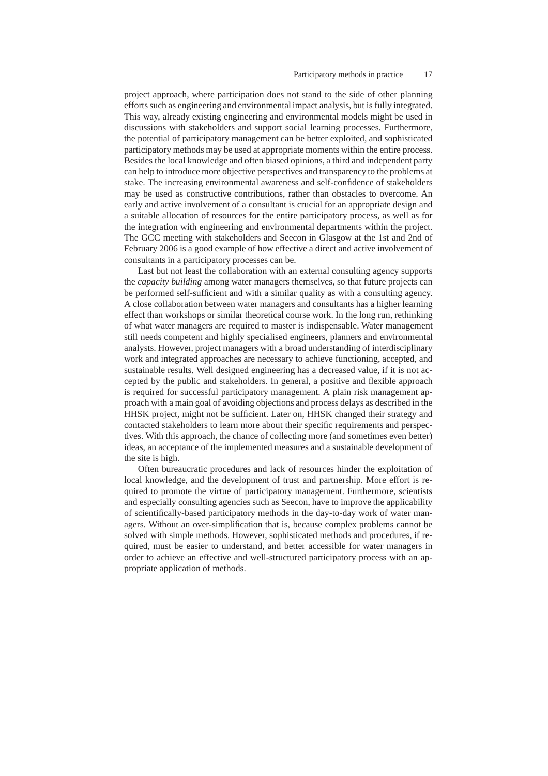#### Participatory methods in practice 17

project approach, where participation does not stand to the side of other planning efforts such as engineering and environmental impact analysis, but is fully integrated. This way, already existing engineering and environmental models might be used in discussions with stakeholders and support social learning processes. Furthermore, the potential of participatory management can be better exploited, and sophisticated participatory methods may be used at appropriate moments within the entire process. Besides the local knowledge and often biased opinions, a third and independent party can help to introduce more objective perspectives and transparency to the problems at stake. The increasing environmental awareness and self-confidence of stakeholders may be used as constructive contributions, rather than obstacles to overcome. An early and active involvement of a consultant is crucial for an appropriate design and a suitable allocation of resources for the entire participatory process, as well as for the integration with engineering and environmental departments within the project. The GCC meeting with stakeholders and Seecon in Glasgow at the 1st and 2nd of February 2006 is a good example of how effective a direct and active involvement of consultants in a participatory processes can be.

Last but not least the collaboration with an external consulting agency supports the *capacity building* among water managers themselves, so that future projects can be performed self-sufficient and with a similar quality as with a consulting agency. A close collaboration between water managers and consultants has a higher learning effect than workshops or similar theoretical course work. In the long run, rethinking of what water managers are required to master is indispensable. Water management still needs competent and highly specialised engineers, planners and environmental analysts. However, project managers with a broad understanding of interdisciplinary work and integrated approaches are necessary to achieve functioning, accepted, and sustainable results. Well designed engineering has a decreased value, if it is not accepted by the public and stakeholders. In general, a positive and flexible approach is required for successful participatory management. A plain risk management approach with a main goal of avoiding objections and process delays as described in the HHSK project, might not be sufficient. Later on, HHSK changed their strategy and contacted stakeholders to learn more about their specific requirements and perspectives. With this approach, the chance of collecting more (and sometimes even better) ideas, an acceptance of the implemented measures and a sustainable development of the site is high.

Often bureaucratic procedures and lack of resources hinder the exploitation of local knowledge, and the development of trust and partnership. More effort is required to promote the virtue of participatory management. Furthermore, scientists and especially consulting agencies such as Seecon, have to improve the applicability of scientifically-based participatory methods in the day-to-day work of water managers. Without an over-simplification that is, because complex problems cannot be solved with simple methods. However, sophisticated methods and procedures, if required, must be easier to understand, and better accessible for water managers in order to achieve an effective and well-structured participatory process with an appropriate application of methods.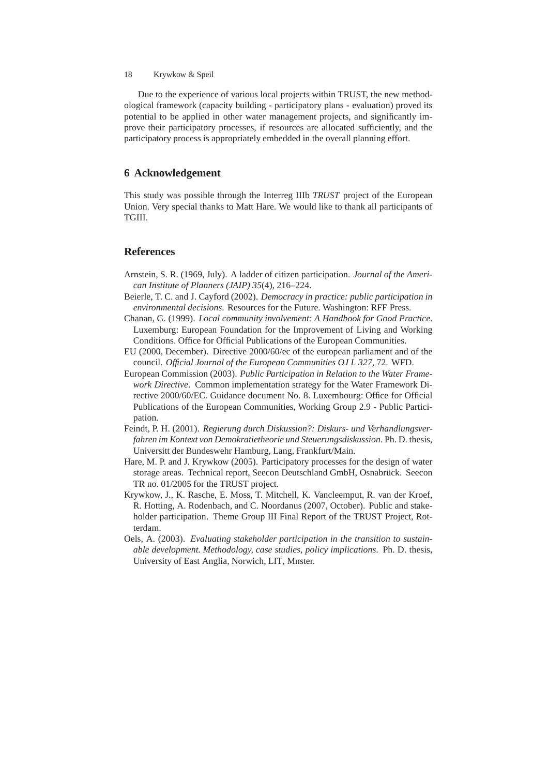Due to the experience of various local projects within TRUST, the new methodological framework (capacity building - participatory plans - evaluation) proved its potential to be applied in other water management projects, and significantly improve their participatory processes, if resources are allocated sufficiently, and the participatory process is appropriately embedded in the overall planning effort.

## **6 Acknowledgement**

This study was possible through the Interreg IIIb *TRUST* project of the European Union. Very special thanks to Matt Hare. We would like to thank all participants of TGIII.

# **References**

- Arnstein, S. R. (1969, July). A ladder of citizen participation. *Journal of the American Institute of Planners (JAIP) 35*(4), 216–224.
- Beierle, T. C. and J. Cayford (2002). *Democracy in practice: public participation in environmental decisions*. Resources for the Future. Washington: RFF Press.
- Chanan, G. (1999). *Local community involvement: A Handbook for Good Practice*. Luxemburg: European Foundation for the Improvement of Living and Working Conditions. Office for Official Publications of the European Communities.
- EU (2000, December). Directive 2000/60/ec of the european parliament and of the council. *Official Journal of the European Communities OJ L 327*, 72. WFD.
- European Commission (2003). *Public Participation in Relation to the Water Framework Directive*. Common implementation strategy for the Water Framework Directive 2000/60/EC. Guidance document No. 8. Luxembourg: Office for Official Publications of the European Communities, Working Group 2.9 - Public Participation.
- Feindt, P. H. (2001). *Regierung durch Diskussion?: Diskurs- und Verhandlungsverfahren im Kontext von Demokratietheorie und Steuerungsdiskussion*. Ph. D. thesis, Universitt der Bundeswehr Hamburg, Lang, Frankfurt/Main.
- Hare, M. P. and J. Krywkow (2005). Participatory processes for the design of water storage areas. Technical report, Seecon Deutschland GmbH, Osnabrück. Seecon TR no. 01/2005 for the TRUST project.
- Krywkow, J., K. Rasche, E. Moss, T. Mitchell, K. Vancleemput, R. van der Kroef, R. Hotting, A. Rodenbach, and C. Noordanus (2007, October). Public and stakeholder participation. Theme Group III Final Report of the TRUST Project, Rotterdam.
- Oels, A. (2003). *Evaluating stakeholder participation in the transition to sustainable development. Methodology, case studies, policy implications*. Ph. D. thesis, University of East Anglia, Norwich, LIT, Mnster.